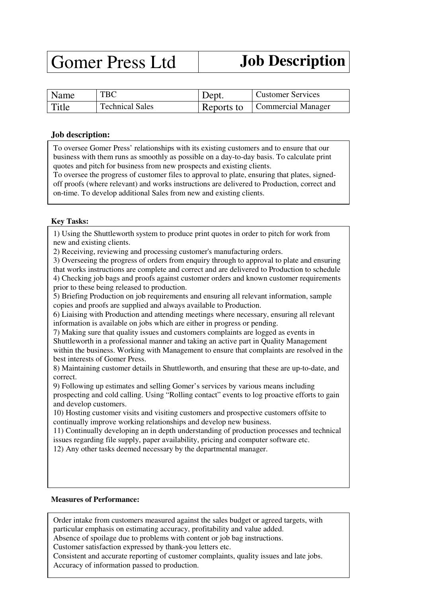# Gomer Press Ltd **Job Description**

| Name  | TBC                    | Dept.      | <b>Customer Services</b>  |
|-------|------------------------|------------|---------------------------|
| Title | <b>Technical Sales</b> | Reports to | <b>Commercial Manager</b> |

## **Job description:**

To oversee Gomer Press' relationships with its existing customers and to ensure that our business with them runs as smoothly as possible on a day-to-day basis. To calculate print quotes and pitch for business from new prospects and existing clients.

To oversee the progress of customer files to approval to plate, ensuring that plates, signedoff proofs (where relevant) and works instructions are delivered to Production, correct and on-time. To develop additional Sales from new and existing clients.

## **Key Tasks:**

1) Using the Shuttleworth system to produce print quotes in order to pitch for work from new and existing clients.

2) Receiving, reviewing and processing customer's manufacturing orders.

3) Overseeing the progress of orders from enquiry through to approval to plate and ensuring that works instructions are complete and correct and are delivered to Production to schedule 4) Checking job bags and proofs against customer orders and known customer requirements prior to these being released to production.

5) Briefing Production on job requirements and ensuring all relevant information, sample copies and proofs are supplied and always available to Production.

6) Liaising with Production and attending meetings where necessary, ensuring all relevant information is available on jobs which are either in progress or pending.

7) Making sure that quality issues and customers complaints are logged as events in Shuttleworth in a professional manner and taking an active part in Quality Management within the business. Working with Management to ensure that complaints are resolved in the best interests of Gomer Press.

8) Maintaining customer details in Shuttleworth, and ensuring that these are up-to-date, and correct.

9) Following up estimates and selling Gomer's services by various means including prospecting and cold calling. Using "Rolling contact" events to log proactive efforts to gain and develop customers.

10) Hosting customer visits and visiting customers and prospective customers offsite to continually improve working relationships and develop new business.

11) Continually developing an in depth understanding of production processes and technical issues regarding file supply, paper availability, pricing and computer software etc.

12) Any other tasks deemed necessary by the departmental manager.

#### **Measures of Performance:**

Order intake from customers measured against the sales budget or agreed targets, with particular emphasis on estimating accuracy, profitability and value added.

Absence of spoilage due to problems with content or job bag instructions.

Customer satisfaction expressed by thank-you letters etc.

Consistent and accurate reporting of customer complaints, quality issues and late jobs. Accuracy of information passed to production.